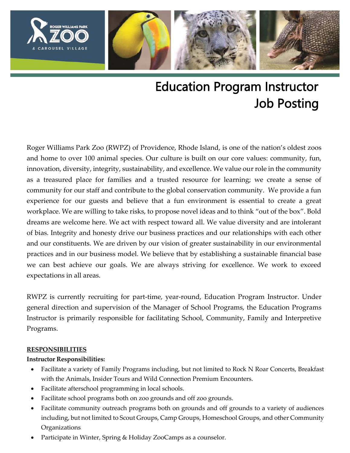

# Education Program Instructor Job Posting

Roger Williams Park Zoo (RWPZ) of Providence, Rhode Island, is one of the nation's oldest zoos and home to over 100 animal species. Our culture is built on our core values: community, fun, innovation, diversity, integrity, sustainability, and excellence. We value our role in the community as a treasured place for families and a trusted resource for learning; we create a sense of community for our staff and contribute to the global conservation community. We provide a fun experience for our guests and believe that a fun environment is essential to create a great workplace. We are willing to take risks, to propose novel ideas and to think "out of the box". Bold dreams are welcome here. We act with respect toward all. We value diversity and are intolerant of bias. Integrity and honesty drive our business practices and our relationships with each other and our constituents. We are driven by our vision of greater sustainability in our environmental practices and in our business model. We believe that by establishing a sustainable financial base we can best achieve our goals. We are always striving for excellence. We work to exceed expectations in all areas.

RWPZ is currently recruiting for part-time, year-round, Education Program Instructor. Under general direction and supervision of the Manager of School Programs, the Education Programs Instructor is primarily responsible for facilitating School, Community, Family and Interpretive Programs.

#### **RESPONSIBILITIES**

#### **Instructor Responsibilities:**

- Facilitate a variety of Family Programs including, but not limited to Rock N Roar Concerts, Breakfast with the Animals, Insider Tours and Wild Connection Premium Encounters.
- Facilitate afterschool programming in local schools.
- Facilitate school programs both on zoo grounds and off zoo grounds.
- Facilitate community outreach programs both on grounds and off grounds to a variety of audiences including, but not limited to Scout Groups, Camp Groups, Homeschool Groups, and other Community Organizations
- Participate in Winter, Spring & Holiday ZooCamps as a counselor.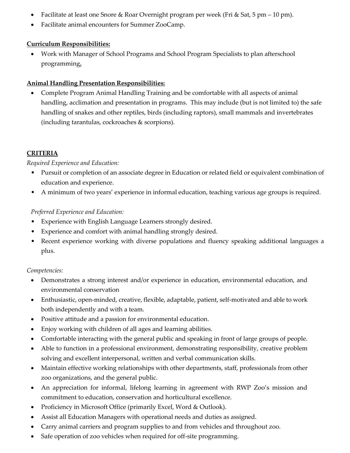- Facilitate at least one Snore & Roar Overnight program per week (Fri & Sat, 5 pm 10 pm).
- Facilitate animal encounters for Summer ZooCamp.

## **Curriculum Responsibilities:**

• Work with Manager of School Programs and School Program Specialists to plan afterschool programming**.**

## **Animal Handling Presentation Responsibilities:**

• Complete Program Animal Handling Training and be comfortable with all aspects of animal handling, acclimation and presentation in programs. This may include (but is not limited to) the safe handling of snakes and other reptiles, birds (including raptors), small mammals and invertebrates (including tarantulas, cockroaches & scorpions).

## **CRITERIA**

#### *Required Experience and Education:*

- Pursuit or completion of an associate degree in Education or related field or equivalent combination of education and experience.
- A minimum of two years' experience in informal education, teaching various age groups is required.

#### *Preferred Experience and Education:*

- Experience with English Language Learners strongly desired.
- Experience and comfort with animal handling strongly desired.
- Recent experience working with diverse populations and fluency speaking additional languages a plus.

#### *Competencies:*

- Demonstrates a strong interest and/or experience in education, environmental education, and environmental conservation
- Enthusiastic, open-minded, creative, flexible, adaptable, patient, self-motivated and able to work both independently and with a team.
- Positive attitude and a passion for environmental education.
- Enjoy working with children of all ages and learning abilities.
- Comfortable interacting with the general public and speaking in front of large groups of people.
- Able to function in a professional environment, demonstrating responsibility, creative problem solving and excellent interpersonal, written and verbal communication skills.
- Maintain effective working relationships with other departments, staff, professionals from other zoo organizations, and the general public.
- An appreciation for informal, lifelong learning in agreement with RWP Zoo's mission and commitment to education, conservation and horticultural excellence.
- Proficiency in Microsoft Office (primarily Excel, Word & Outlook).
- Assist all Education Managers with operational needs and duties as assigned.
- Carry animal carriers and program supplies to and from vehicles and throughout zoo.
- Safe operation of zoo vehicles when required for off-site programming.